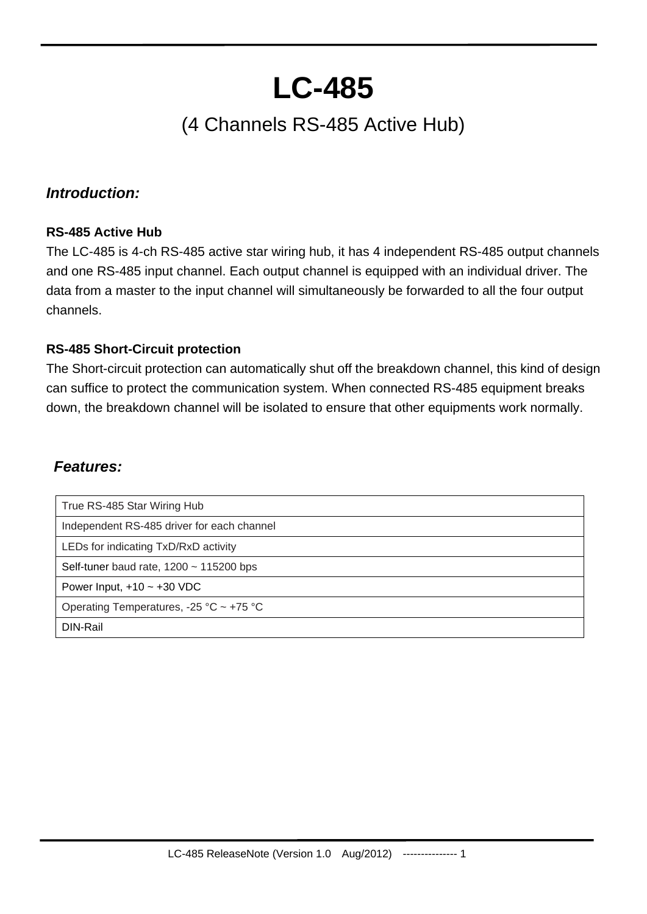# **LC-485**

## (4 Channels RS-485 Active Hub)

#### *Introduction:*

#### **RS-485 Active Hub**

The LC-485 is 4-ch RS-485 active star wiring hub, it has 4 independent RS-485 output channels and one RS-485 input channel. Each output channel is equipped with an individual driver. The data from a master to the input channel will simultaneously be forwarded to all the four output channels.

#### **RS-485 Short-Circuit protection**

The Short-circuit protection can automatically shut off the breakdown channel, this kind of design can suffice to protect the communication system. When connected RS-485 equipment breaks down, the breakdown channel will be isolated to ensure that other equipments work normally.

#### *Features:*

| True RS-485 Star Wiring Hub                  |
|----------------------------------------------|
| Independent RS-485 driver for each channel   |
| LEDs for indicating TxD/RxD activity         |
| Self-tuner baud rate, $1200 \sim 115200$ bps |
| Power Input, $+10 \sim +30$ VDC              |
| Operating Temperatures, -25 °C ~ +75 °C      |
| DIN-Rail                                     |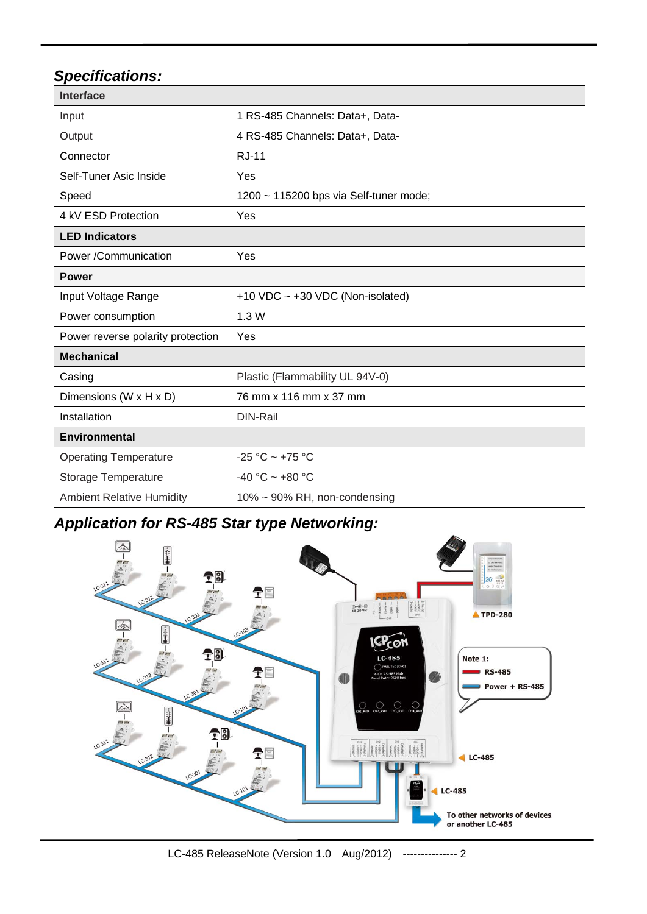## *Specifications:*

| <b>Interface</b>                  |                                        |  |  |  |
|-----------------------------------|----------------------------------------|--|--|--|
| Input                             | 1 RS-485 Channels: Data+, Data-        |  |  |  |
| Output                            | 4 RS-485 Channels: Data+, Data-        |  |  |  |
| Connector                         | <b>R.J-11</b>                          |  |  |  |
| Self-Tuner Asic Inside            | Yes                                    |  |  |  |
| Speed                             | 1200 ~ 115200 bps via Self-tuner mode; |  |  |  |
| 4 kV ESD Protection               | Yes                                    |  |  |  |
| <b>LED Indicators</b>             |                                        |  |  |  |
| Power /Communication              | Yes                                    |  |  |  |
| <b>Power</b>                      |                                        |  |  |  |
| Input Voltage Range               | +10 VDC $\sim$ +30 VDC (Non-isolated)  |  |  |  |
| Power consumption                 | 1.3W                                   |  |  |  |
| Power reverse polarity protection | Yes                                    |  |  |  |
| <b>Mechanical</b>                 |                                        |  |  |  |
| Casing                            | Plastic (Flammability UL 94V-0)        |  |  |  |
| Dimensions (W x H x D)            | 76 mm x 116 mm x 37 mm                 |  |  |  |
| Installation                      | DIN-Rail                               |  |  |  |
| Environmental                     |                                        |  |  |  |
| <b>Operating Temperature</b>      | $-25 °C \sim +75 °C$                   |  |  |  |
| Storage Temperature               | $-40 °C \sim +80 °C$                   |  |  |  |
| <b>Ambient Relative Humidity</b>  | 10% ~ 90% RH, non-condensing           |  |  |  |

## *Application for RS-485 Star type Networking:*

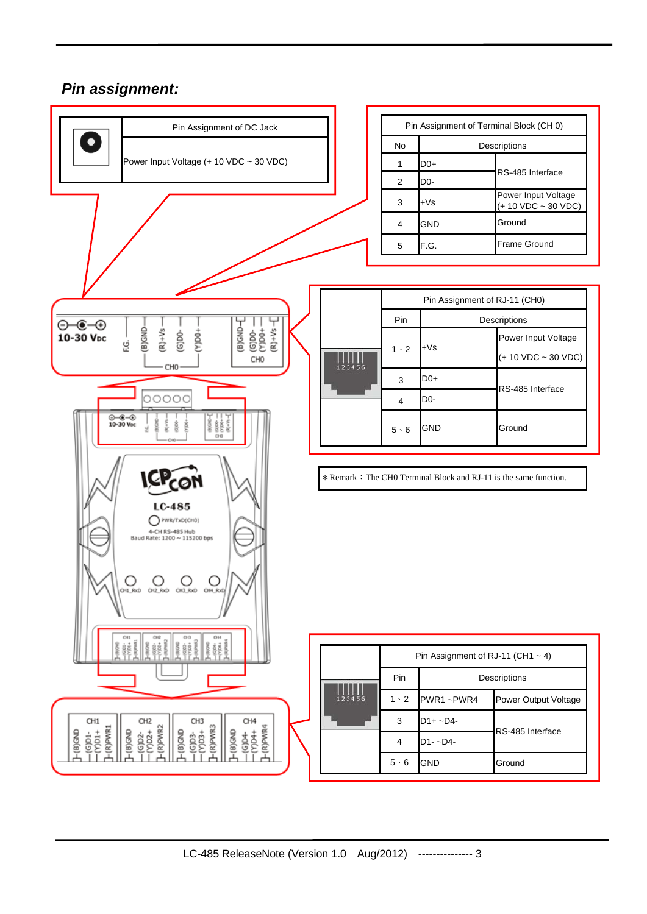#### *Pin assignment:*